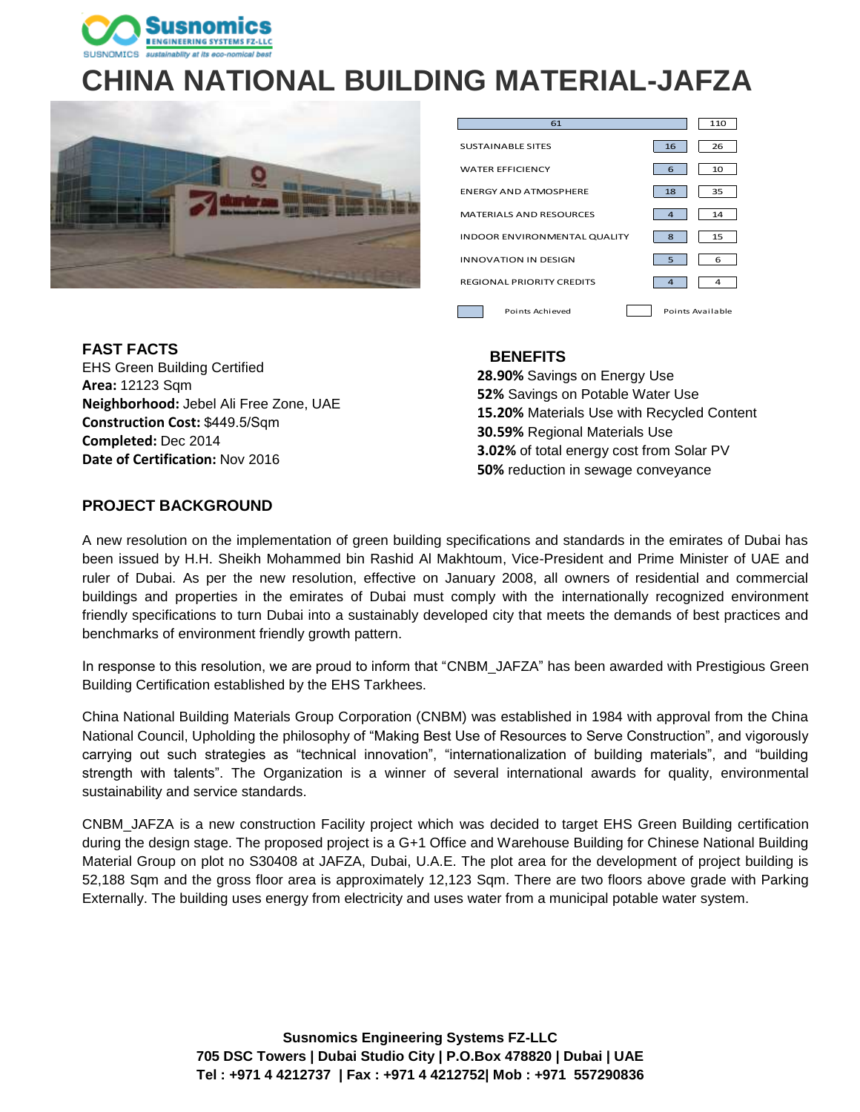

# **CHINA NATIONAL BUILDING MATERIAL-JAFZA**



| 61                               |    | 110              |
|----------------------------------|----|------------------|
| <b>SUSTAINABLE SITES</b>         | 16 | 26               |
| <b>WATER EFFICIENCY</b>          | 6  | 10               |
| <b>ENERGY AND ATMOSPHERE</b>     | 18 | 35               |
| MATERIALS AND RESOURCES          | 4  | 14               |
| INDOOR ENVIRONMENTAL QUALITY     | 8  | 15               |
| <b>INNOVATION IN DESIGN</b>      | 5  | 6                |
| <b>REGIONAL PRIORITY CREDITS</b> | 4  | 4                |
| Points Achieved                  |    | Points Available |

**FAST FACTS**  EHS Green Building Certified **Area:** 12123 Sqm **Neighborhood:** Jebel Ali Free Zone, UAE **Construction Cost:** \$449.5/Sqm **Completed:** Dec 2014 **Date of Certification:** Nov 2016

#### **BENEFITS**

**28.90%** Savings on Energy Use **52%** Savings on Potable Water Use **15.20%** Materials Use with Recycled Content **30.59%** Regional Materials Use **3.02%** of total energy cost from Solar PV **50%** reduction in sewage conveyance

#### **PROJECT BACKGROUND**

A new resolution on the implementation of green building specifications and standards in the emirates of Dubai has been issued by H.H. Sheikh Mohammed bin Rashid Al Makhtoum, Vice-President and Prime Minister of UAE and ruler of Dubai. As per the new resolution, effective on January 2008, all owners of residential and commercial buildings and properties in the emirates of Dubai must comply with the internationally recognized environment friendly specifications to turn Dubai into a sustainably developed city that meets the demands of best practices and benchmarks of environment friendly growth pattern.

In response to this resolution, we are proud to inform that "CNBM\_JAFZA" has been awarded with Prestigious Green Building Certification established by the EHS Tarkhees.

China National Building Materials Group Corporation (CNBM) was established in 1984 with approval from the China National Council, Upholding the philosophy of "Making Best Use of Resources to Serve Construction", and vigorously carrying out such strategies as "technical innovation", "internationalization of building materials", and "building strength with talents". The Organization is a winner of several international awards for quality, environmental sustainability and service standards.

CNBM\_JAFZA is a new construction Facility project which was decided to target EHS Green Building certification during the design stage. The proposed project is a G+1 Office and Warehouse Building for Chinese National Building Material Group on plot no S30408 at JAFZA, Dubai, U.A.E. The plot area for the development of project building is 52,188 Sqm and the gross floor area is approximately 12,123 Sqm. There are two floors above grade with Parking Externally. The building uses energy from electricity and uses water from a municipal potable water system.

> **Susnomics Engineering Systems FZ-LLC 705 DSC Towers | Dubai Studio City | P.O.Box 478820 | Dubai | UAE Tel : +971 4 4212737 | Fax : +971 4 4212752| Mob : +971 557290836**